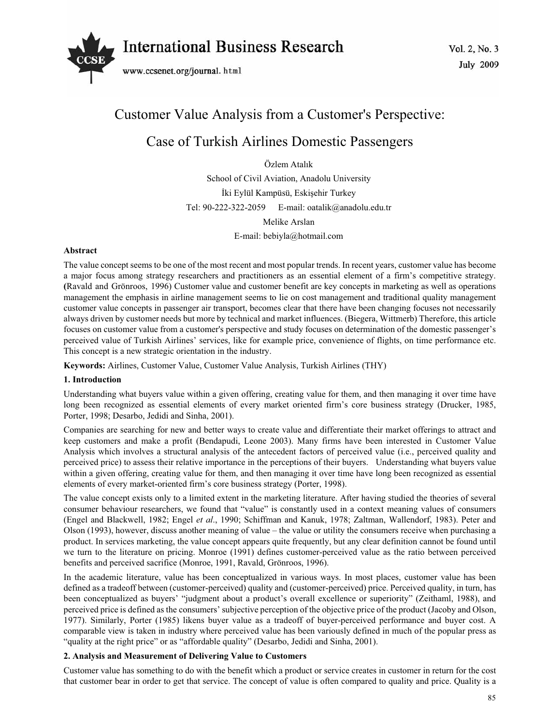# **International Business Research**  $\text{Vol. 2, No. 3}$



# Customer Value Analysis from a Customer's Perspective: Case of Turkish Airlines Domestic Passengers

Özlem Atalık

School of Civil Aviation, Anadolu University

İki Eylül Kampüsü, Eskişehir Turkey

Tel: 90-222-322-2059 E-mail: oatalik@anadolu.edu.tr

Melike Arslan

E-mail: bebiyla@hotmail.com

# **Abstract**

The value concept seems to be one of the most recent and most popular trends. In recent years, customer value has become a major focus among strategy researchers and practitioners as an essential element of a firm's competitive strategy. **(**Ravald and Grönroos, 1996) Customer value and customer benefit are key concepts in marketing as well as operations management the emphasis in airline management seems to lie on cost management and traditional quality management customer value concepts in passenger air transport, becomes clear that there have been changing focuses not necessarily always driven by customer needs but more by technical and market influences. (Biegera, Wittmerb) Therefore, this article focuses on customer value from a customer's perspective and study focuses on determination of the domestic passenger's perceived value of Turkish Airlines' services, like for example price, convenience of flights, on time performance etc. This concept is a new strategic orientation in the industry.

**Keywords:** Airlines, Customer Value, Customer Value Analysis, Turkish Airlines (THY)

# **1. Introduction**

Understanding what buyers value within a given offering, creating value for them, and then managing it over time have long been recognized as essential elements of every market oriented firm's core business strategy (Drucker, 1985, Porter, 1998; Desarbo, Jedidi and Sinha, 2001).

Companies are searching for new and better ways to create value and differentiate their market offerings to attract and keep customers and make a profit (Bendapudi, Leone 2003). Many firms have been interested in Customer Value Analysis which involves a structural analysis of the antecedent factors of perceived value (i.e., perceived quality and perceived price) to assess their relative importance in the perceptions of their buyers. Understanding what buyers value within a given offering, creating value for them, and then managing it over time have long been recognized as essential elements of every market-oriented firm's core business strategy (Porter, 1998).

The value concept exists only to a limited extent in the marketing literature. After having studied the theories of several consumer behaviour researchers, we found that "value" is constantly used in a context meaning values of consumers (Engel and Blackwell, 1982; Engel *et al*., 1990; Schiffman and Kanuk, 1978; Zaltman, Wallendorf, 1983). Peter and Olson (1993), however, discuss another meaning of value – the value or utility the consumers receive when purchasing a product. In services marketing, the value concept appears quite frequently, but any clear definition cannot be found until we turn to the literature on pricing. Monroe (1991) defines customer-perceived value as the ratio between perceived benefits and perceived sacrifice (Monroe, 1991, Ravald, Grönroos, 1996).

In the academic literature, value has been conceptualized in various ways. In most places, customer value has been defined as a tradeoff between (customer-perceived) quality and (customer-perceived) price. Perceived quality, in turn, has been conceptualized as buyers' "judgment about a product's overall excellence or superiority" (Zeithaml, 1988), and perceived price is defined as the consumers' subjective perception of the objective price of the product (Jacoby and Olson, 1977). Similarly, Porter (1985) likens buyer value as a tradeoff of buyer-perceived performance and buyer cost. A comparable view is taken in industry where perceived value has been variously defined in much of the popular press as "quality at the right price" or as "affordable quality" (Desarbo, Jedidi and Sinha, 2001).

# **2. Analysis and Measurement of Delivering Value to Customers**

Customer value has something to do with the benefit which a product or service creates in customer in return for the cost that customer bear in order to get that service. The concept of value is often compared to quality and price. Quality is a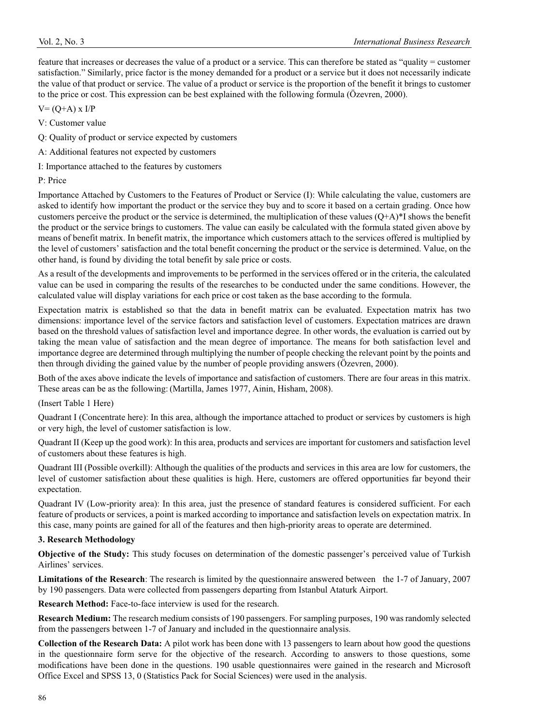feature that increases or decreases the value of a product or a service. This can therefore be stated as "quality = customer satisfaction." Similarly, price factor is the money demanded for a product or a service but it does not necessarily indicate the value of that product or service. The value of a product or service is the proportion of the benefit it brings to customer to the price or cost. This expression can be best explained with the following formula (Özevren, 2000).

 $V = (O+A) \times I/P$ 

V: Customer value

Q: Quality of product or service expected by customers

A: Additional features not expected by customers

I: Importance attached to the features by customers

P: Price

Importance Attached by Customers to the Features of Product or Service (I): While calculating the value, customers are asked to identify how important the product or the service they buy and to score it based on a certain grading. Once how customers perceive the product or the service is determined, the multiplication of these values  $(Q+A)^*I$  shows the benefit the product or the service brings to customers. The value can easily be calculated with the formula stated given above by means of benefit matrix. In benefit matrix, the importance which customers attach to the services offered is multiplied by the level of customers' satisfaction and the total benefit concerning the product or the service is determined. Value, on the other hand, is found by dividing the total benefit by sale price or costs.

As a result of the developments and improvements to be performed in the services offered or in the criteria, the calculated value can be used in comparing the results of the researches to be conducted under the same conditions. However, the calculated value will display variations for each price or cost taken as the base according to the formula.

Expectation matrix is established so that the data in benefit matrix can be evaluated. Expectation matrix has two dimensions: importance level of the service factors and satisfaction level of customers. Expectation matrices are drawn based on the threshold values of satisfaction level and importance degree. In other words, the evaluation is carried out by taking the mean value of satisfaction and the mean degree of importance. The means for both satisfaction level and importance degree are determined through multiplying the number of people checking the relevant point by the points and then through dividing the gained value by the number of people providing answers (Özevren, 2000).

Both of the axes above indicate the levels of importance and satisfaction of customers. There are four areas in this matrix. These areas can be as the following:(Martilla, James 1977, Ainin, Hisham, 2008).

(Insert Table 1 Here)

Quadrant I (Concentrate here): In this area, although the importance attached to product or services by customers is high or very high, the level of customer satisfaction is low.

Quadrant II (Keep up the good work): In this area, products and services are important for customers and satisfaction level of customers about these features is high.

Quadrant III (Possible overkill): Although the qualities of the products and services in this area are low for customers, the level of customer satisfaction about these qualities is high. Here, customers are offered opportunities far beyond their expectation.

Quadrant IV (Low-priority area): In this area, just the presence of standard features is considered sufficient. For each feature of products or services, a point is marked according to importance and satisfaction levels on expectation matrix. In this case, many points are gained for all of the features and then high-priority areas to operate are determined.

# **3. Research Methodology**

**Objective of the Study:** This study focuses on determination of the domestic passenger's perceived value of Turkish Airlines' services.

**Limitations of the Research**: The research is limited by the questionnaire answered between the 1-7 of January, 2007 by 190 passengers. Data were collected from passengers departing from Istanbul Ataturk Airport.

**Research Method:** Face-to-face interview is used for the research.

**Research Medium:** The research medium consists of 190 passengers. For sampling purposes, 190 was randomly selected from the passengers between 1-7 of January and included in the questionnaire analysis.

**Collection of the Research Data:** A pilot work has been done with 13 passengers to learn about how good the questions in the questionnaire form serve for the objective of the research. According to answers to those questions, some modifications have been done in the questions. 190 usable questionnaires were gained in the research and Microsoft Office Excel and SPSS 13, 0 (Statistics Pack for Social Sciences) were used in the analysis.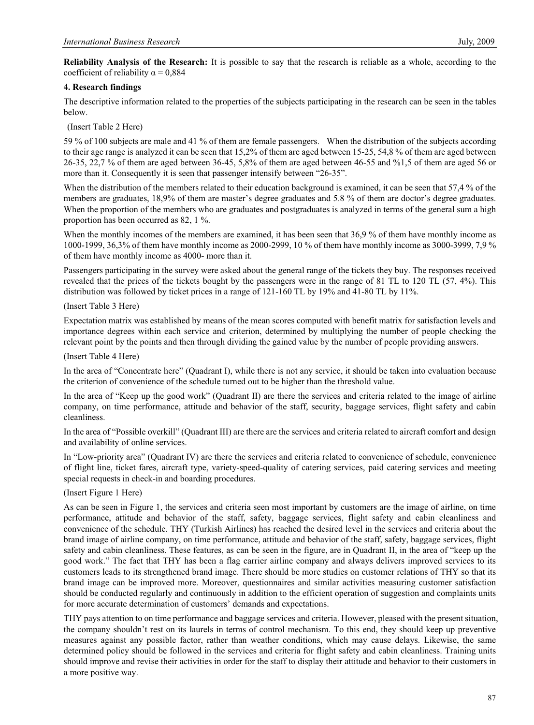**Reliability Analysis of the Research:** It is possible to say that the research is reliable as a whole, according to the coefficient of reliability  $\alpha = 0.884$ 

### **4. Research findings**

The descriptive information related to the properties of the subjects participating in the research can be seen in the tables below.

(Insert Table 2 Here)

59 % of 100 subjects are male and 41 % of them are female passengers. When the distribution of the subjects according to their age range is analyzed it can be seen that 15,2% of them are aged between 15-25, 54,8 % of them are aged between 26-35, 22,7 % of them are aged between 36-45, 5,8% of them are aged between 46-55 and %1,5 of them are aged 56 or more than it. Consequently it is seen that passenger intensify between "26-35".

When the distribution of the members related to their education background is examined, it can be seen that 57,4 % of the members are graduates, 18,9% of them are master's degree graduates and 5.8 % of them are doctor's degree graduates. When the proportion of the members who are graduates and postgraduates is analyzed in terms of the general sum a high proportion has been occurred as 82, 1 %.

When the monthly incomes of the members are examined, it has been seen that 36,9 % of them have monthly income as 1000-1999, 36,3% of them have monthly income as 2000-2999, 10 % of them have monthly income as 3000-3999, 7,9 % of them have monthly income as 4000- more than it.

Passengers participating in the survey were asked about the general range of the tickets they buy. The responses received revealed that the prices of the tickets bought by the passengers were in the range of 81 TL to 120 TL (57, 4%). This distribution was followed by ticket prices in a range of 121-160 TL by 19% and 41-80 TL by 11%.

#### (Insert Table 3 Here)

Expectation matrix was established by means of the mean scores computed with benefit matrix for satisfaction levels and importance degrees within each service and criterion, determined by multiplying the number of people checking the relevant point by the points and then through dividing the gained value by the number of people providing answers.

(Insert Table 4 Here)

In the area of "Concentrate here" (Quadrant I), while there is not any service, it should be taken into evaluation because the criterion of convenience of the schedule turned out to be higher than the threshold value.

In the area of "Keep up the good work" (Quadrant II) are there the services and criteria related to the image of airline company, on time performance, attitude and behavior of the staff, security, baggage services, flight safety and cabin cleanliness.

In the area of "Possible overkill" (Quadrant III) are there are the services and criteria related to aircraft comfort and design and availability of online services.

In "Low-priority area" (Quadrant IV) are there the services and criteria related to convenience of schedule, convenience of flight line, ticket fares, aircraft type, variety-speed-quality of catering services, paid catering services and meeting special requests in check-in and boarding procedures.

#### (Insert Figure 1 Here)

As can be seen in Figure 1, the services and criteria seen most important by customers are the image of airline, on time performance, attitude and behavior of the staff, safety, baggage services, flight safety and cabin cleanliness and convenience of the schedule. THY (Turkish Airlines) has reached the desired level in the services and criteria about the brand image of airline company, on time performance, attitude and behavior of the staff, safety, baggage services, flight safety and cabin cleanliness. These features, as can be seen in the figure, are in Quadrant II, in the area of "keep up the good work." The fact that THY has been a flag carrier airline company and always delivers improved services to its customers leads to its strengthened brand image. There should be more studies on customer relations of THY so that its brand image can be improved more. Moreover, questionnaires and similar activities measuring customer satisfaction should be conducted regularly and continuously in addition to the efficient operation of suggestion and complaints units for more accurate determination of customers' demands and expectations.

THY pays attention to on time performance and baggage services and criteria. However, pleased with the present situation, the company shouldn't rest on its laurels in terms of control mechanism. To this end, they should keep up preventive measures against any possible factor, rather than weather conditions, which may cause delays. Likewise, the same determined policy should be followed in the services and criteria for flight safety and cabin cleanliness. Training units should improve and revise their activities in order for the staff to display their attitude and behavior to their customers in a more positive way.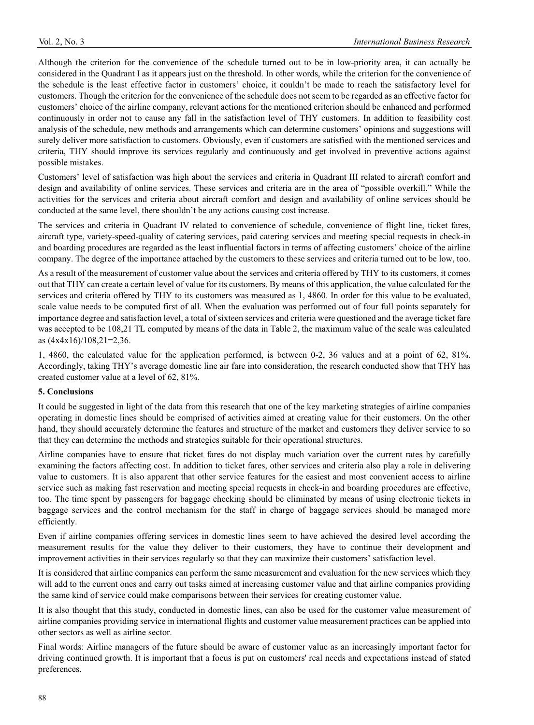Although the criterion for the convenience of the schedule turned out to be in low-priority area, it can actually be considered in the Quadrant I as it appears just on the threshold. In other words, while the criterion for the convenience of the schedule is the least effective factor in customers' choice, it couldn't be made to reach the satisfactory level for customers. Though the criterion for the convenience of the schedule does not seem to be regarded as an effective factor for customers' choice of the airline company, relevant actions for the mentioned criterion should be enhanced and performed continuously in order not to cause any fall in the satisfaction level of THY customers. In addition to feasibility cost analysis of the schedule, new methods and arrangements which can determine customers' opinions and suggestions will surely deliver more satisfaction to customers. Obviously, even if customers are satisfied with the mentioned services and criteria, THY should improve its services regularly and continuously and get involved in preventive actions against possible mistakes.

Customers' level of satisfaction was high about the services and criteria in Quadrant III related to aircraft comfort and design and availability of online services. These services and criteria are in the area of "possible overkill." While the activities for the services and criteria about aircraft comfort and design and availability of online services should be conducted at the same level, there shouldn't be any actions causing cost increase.

The services and criteria in Quadrant IV related to convenience of schedule, convenience of flight line, ticket fares, aircraft type, variety-speed-quality of catering services, paid catering services and meeting special requests in check-in and boarding procedures are regarded as the least influential factors in terms of affecting customers' choice of the airline company. The degree of the importance attached by the customers to these services and criteria turned out to be low, too.

As a result of the measurement of customer value about the services and criteria offered by THY to its customers, it comes out that THY can create a certain level of value for its customers. By means of this application, the value calculated for the services and criteria offered by THY to its customers was measured as 1, 4860. In order for this value to be evaluated, scale value needs to be computed first of all. When the evaluation was performed out of four full points separately for importance degree and satisfaction level, a total of sixteen services and criteria were questioned and the average ticket fare was accepted to be 108,21 TL computed by means of the data in Table 2, the maximum value of the scale was calculated as  $(4x4x16)/108,21=2,36$ .

1, 4860, the calculated value for the application performed, is between 0-2, 36 values and at a point of 62, 81%. Accordingly, taking THY's average domestic line air fare into consideration, the research conducted show that THY has created customer value at a level of 62, 81%.

### **5. Conclusions**

It could be suggested in light of the data from this research that one of the key marketing strategies of airline companies operating in domestic lines should be comprised of activities aimed at creating value for their customers. On the other hand, they should accurately determine the features and structure of the market and customers they deliver service to so that they can determine the methods and strategies suitable for their operational structures.

Airline companies have to ensure that ticket fares do not display much variation over the current rates by carefully examining the factors affecting cost. In addition to ticket fares, other services and criteria also play a role in delivering value to customers. It is also apparent that other service features for the easiest and most convenient access to airline service such as making fast reservation and meeting special requests in check-in and boarding procedures are effective, too. The time spent by passengers for baggage checking should be eliminated by means of using electronic tickets in baggage services and the control mechanism for the staff in charge of baggage services should be managed more efficiently.

Even if airline companies offering services in domestic lines seem to have achieved the desired level according the measurement results for the value they deliver to their customers, they have to continue their development and improvement activities in their services regularly so that they can maximize their customers' satisfaction level.

It is considered that airline companies can perform the same measurement and evaluation for the new services which they will add to the current ones and carry out tasks aimed at increasing customer value and that airline companies providing the same kind of service could make comparisons between their services for creating customer value.

It is also thought that this study, conducted in domestic lines, can also be used for the customer value measurement of airline companies providing service in international flights and customer value measurement practices can be applied into other sectors as well as airline sector.

Final words: Airline managers of the future should be aware of customer value as an increasingly important factor for driving continued growth. It is important that a focus is put on customers' real needs and expectations instead of stated preferences.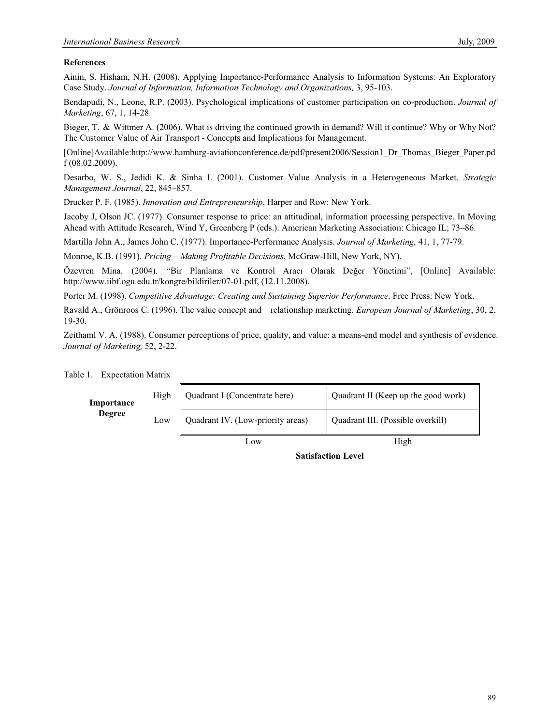# **References**

Ainin, S. Hisham, N.H. (2008). Applying Importance-Performance Analysis to Information Systems: An Exploratory Case Study. *Journal of Information, Information Technology and Organizations,* 3, 95-103.

Bendapudi, N., Leone, R.P. (2003). Psychological implications of customer participation on co-production. *Journal of Marketing*, 67, 1, 14-28.

Bieger, T. & Wittmer A. (2006). What is driving the continued growth in demand? Will it continue? Why or Why Not? The Customer Value of Air Transport - Concepts and Implications for Management.

[Online]Available:http://www.hamburg-aviationconference.de/pdf/present2006/Session1\_Dr\_Thomas\_Bieger\_Paper.pd f (08.02.2009).

Desarbo, W. S., Jedidi K. & Sinha I. (2001). Customer Value Analysis in a Heterogeneous Market. *Strategic Management Journal*, 22, 845–857.

Drucker P. F. (1985). *Innovation and Entrepreneurship*, Harper and Row: New York.

Jacoby J, Olson JC. (1977). Consumer response to price: an attitudinal, information processing perspective. In Moving Ahead with Attitude Research, Wind Y, Greenberg P (eds.). American Marketing Association: Chicago IL; 73–86.

Martilla John A., James John C. (1977). Importance-Performance Analysis. *Journal of Marketing,* 41, 1, 77-79.

Monroe, K.B. (1991). *Pricing – Making Profitable Decisions*, McGraw-Hill, New York, NY).

Özevren Mina. (2004). "Bir Planlama ve Kontrol Aracı Olarak Değer Yönetimi", [Online] Available: http://www.iibf.ogu.edu.tr/kongre/bildiriler/07-01.pdf, (12.11.2008).

Porter M. (1998). *Competitive Advantage: Creating and Sustaining Superior Performance*. Free Press: New York.

Ravald A., Grönroos C. (1996). The value concept and relationship marketing. *European Journal of Marketing*, 30, 2, 19-30.

Zeithaml V. A. (1988). Consumer perceptions of price, quality, and value: a means-end model and synthesis of evidence. *Journal of Marketing,* 52, 2-22.

Table 1. Expectation Matrix

| Importance<br><b>Degree</b> | High | Quadrant I (Concentrate here)     | Quadrant II (Keep up the good work) |
|-----------------------------|------|-----------------------------------|-------------------------------------|
|                             | Low  | Quadrant IV. (Low-priority areas) | Quadrant III. (Possible overkill)   |
|                             |      | Low                               | High                                |

**Satisfaction Level**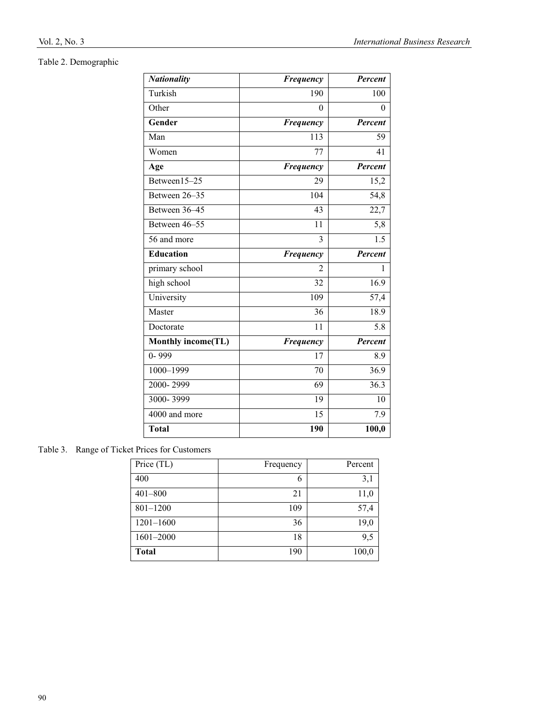# Table 2. Demographic

| <b>Nationality</b>        | Frequency      | Percent |
|---------------------------|----------------|---------|
| Turkish                   | 190            | 100     |
| Other                     | $\theta$       | 0       |
| Gender                    | Frequency      | Percent |
| Man                       | 113            | 59      |
| Women                     | 77             | 41      |
| Age                       | Frequency      | Percent |
| Between15-25              | 29             | 15,2    |
| Between 26-35             | 104            | 54,8    |
| Between 36-45             | 43             | 22,7    |
| Between 46-55             | 11             | 5,8     |
| 56 and more               | 3              | 1.5     |
| <b>Education</b>          | Frequency      | Percent |
| primary school            | $\overline{2}$ | 1       |
| high school               | 32             | 16.9    |
| University                | 109            | 57,4    |
| Master                    | 36             | 18.9    |
| Doctorate                 | 11             | 5.8     |
| <b>Monthly income(TL)</b> | Frequency      | Percent |
| $0 - 999$                 | 17             | 8.9     |
| 1000-1999                 | 70             | 36.9    |
| 2000-2999                 | 69             | 36.3    |
| 3000-3999                 | 19<br>10       |         |
| 4000 and more             | 15             | 7.9     |
| <b>Total</b>              | 190            | 100,0   |

Table 3. Range of Ticket Prices for Customers

| Price (TL)    | Frequency | Percent |
|---------------|-----------|---------|
| 400           | 6         | 3,1     |
| $401 - 800$   | 21        | 11,0    |
| $801 - 1200$  | 109       | 57,4    |
| $1201 - 1600$ | 36        | 19,0    |
| $1601 - 2000$ | 18        | 9,5     |
| <b>Total</b>  | 190       | 100,0   |